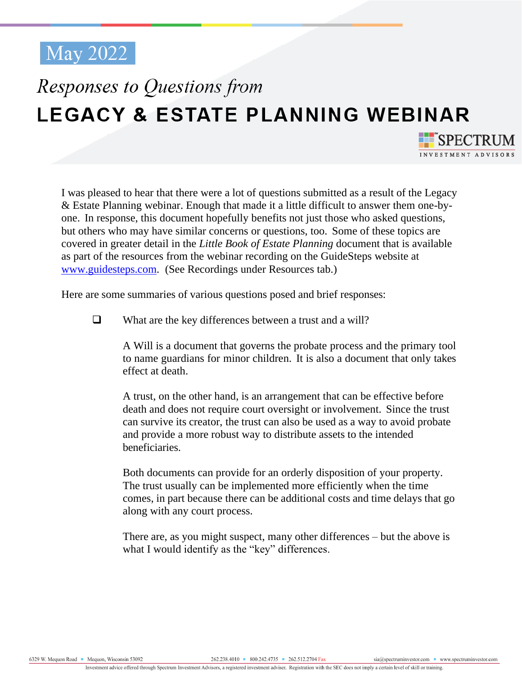## Responses to Questions from LEGACY & ESTATE PLANNING WEBINAR

I was pleased to hear that there were a lot of questions submitted as a result of the Legacy & Estate Planning webinar. Enough that made it a little difficult to answer them one-byone. In response, this document hopefully benefits not just those who asked questions, but others who may have similar concerns or questions, too. Some of these topics are covered in greater detail in the *Little Book of Estate Planning* document that is available as part of the resources from the webinar recording on the GuideSteps website at [www.guidesteps.com.](www.guidesteps.com) (See Recordings under Resources tab.)

Here are some summaries of various questions posed and brief responses:

❑ What are the key differences between a trust and a will?

A Will is a document that governs the probate process and the primary tool to name guardians for minor children. It is also a document that only takes effect at death.

A trust, on the other hand, is an arrangement that can be effective before death and does not require court oversight or involvement. Since the trust can survive its creator, the trust can also be used as a way to avoid probate and provide a more robust way to distribute assets to the intended beneficiaries.

Both documents can provide for an orderly disposition of your property. The trust usually can be implemented more efficiently when the time comes, in part because there can be additional costs and time delays that go along with any court process.

There are, as you might suspect, many other differences – but the above is what I would identify as the "key" differences.

**FE**SPECTRUM INVESTMENT ADVISOR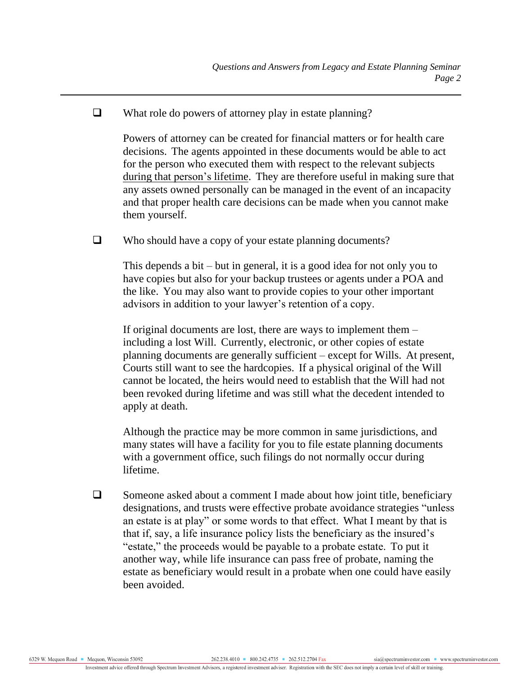## ❑ What role do powers of attorney play in estate planning?

Powers of attorney can be created for financial matters or for health care decisions. The agents appointed in these documents would be able to act for the person who executed them with respect to the relevant subjects during that person's lifetime. They are therefore useful in making sure that any assets owned personally can be managed in the event of an incapacity and that proper health care decisions can be made when you cannot make them yourself.

❑ Who should have a copy of your estate planning documents?

This depends a bit – but in general, it is a good idea for not only you to have copies but also for your backup trustees or agents under a POA and the like. You may also want to provide copies to your other important advisors in addition to your lawyer's retention of a copy.

If original documents are lost, there are ways to implement them – including a lost Will. Currently, electronic, or other copies of estate planning documents are generally sufficient – except for Wills. At present, Courts still want to see the hardcopies. If a physical original of the Will cannot be located, the heirs would need to establish that the Will had not been revoked during lifetime and was still what the decedent intended to apply at death.

Although the practice may be more common in same jurisdictions, and many states will have a facility for you to file estate planning documents with a government office, such filings do not normally occur during lifetime.

□ Someone asked about a comment I made about how joint title, beneficiary designations, and trusts were effective probate avoidance strategies "unless an estate is at play" or some words to that effect. What I meant by that is that if, say, a life insurance policy lists the beneficiary as the insured's "estate," the proceeds would be payable to a probate estate. To put it another way, while life insurance can pass free of probate, naming the estate as beneficiary would result in a probate when one could have easily been avoided.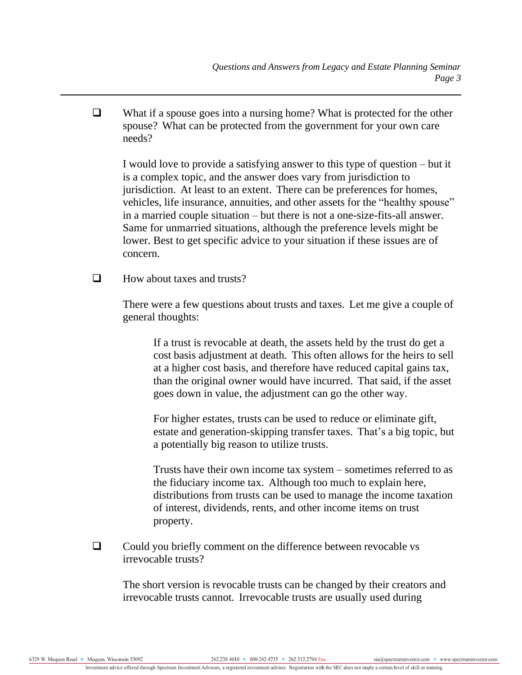❑ What if a spouse goes into a nursing home? What is protected for the other spouse? What can be protected from the government for your own care needs?

I would love to provide a satisfying answer to this type of question – but it is a complex topic, and the answer does vary from jurisdiction to jurisdiction. At least to an extent. There can be preferences for homes, vehicles, life insurance, annuities, and other assets for the "healthy spouse" in a married couple situation – but there is not a one-size-fits-all answer. Same for unmarried situations, although the preference levels might be lower. Best to get specific advice to your situation if these issues are of concern.

 $\Box$  How about taxes and trusts?

There were a few questions about trusts and taxes. Let me give a couple of general thoughts:

If a trust is revocable at death, the assets held by the trust do get a cost basis adjustment at death. This often allows for the heirs to sell at a higher cost basis, and therefore have reduced capital gains tax, than the original owner would have incurred. That said, if the asset goes down in value, the adjustment can go the other way.

For higher estates, trusts can be used to reduce or eliminate gift, estate and generation-skipping transfer taxes. That's a big topic, but a potentially big reason to utilize trusts.

Trusts have their own income tax system – sometimes referred to as the fiduciary income tax. Although too much to explain here, distributions from trusts can be used to manage the income taxation of interest, dividends, rents, and other income items on trust property.

❑ Could you briefly comment on the difference between revocable vs irrevocable trusts?

The short version is revocable trusts can be changed by their creators and irrevocable trusts cannot. Irrevocable trusts are usually used during

6329 W. Meguon Road ■ Meguon, Wisconsin 53092

sia@spectruminvestor.com www.spectruminvestor.com

Investment advice offered through Spectrum Investment Advisors, a registered investment adviser. Registration with the SEC does not imply a certain level of skill or training.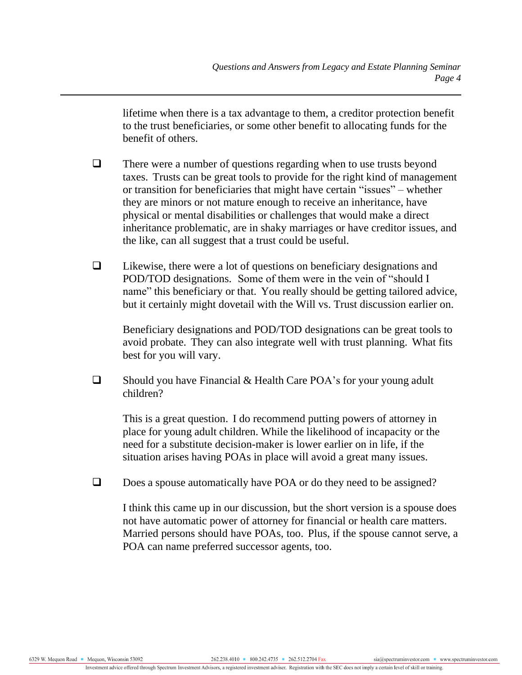lifetime when there is a tax advantage to them, a creditor protection benefit to the trust beneficiaries, or some other benefit to allocating funds for the benefit of others.

- ❑ There were a number of questions regarding when to use trusts beyond taxes. Trusts can be great tools to provide for the right kind of management or transition for beneficiaries that might have certain "issues" – whether they are minors or not mature enough to receive an inheritance, have physical or mental disabilities or challenges that would make a direct inheritance problematic, are in shaky marriages or have creditor issues, and the like, can all suggest that a trust could be useful.
- ❑ Likewise, there were a lot of questions on beneficiary designations and POD/TOD designations. Some of them were in the vein of "should I name" this beneficiary or that. You really should be getting tailored advice, but it certainly might dovetail with the Will vs. Trust discussion earlier on.

Beneficiary designations and POD/TOD designations can be great tools to avoid probate. They can also integrate well with trust planning. What fits best for you will vary.

❑ Should you have Financial & Health Care POA's for your young adult children?

This is a great question. I do recommend putting powers of attorney in place for young adult children. While the likelihood of incapacity or the need for a substitute decision-maker is lower earlier on in life, if the situation arises having POAs in place will avoid a great many issues.

□ Does a spouse automatically have POA or do they need to be assigned?

I think this came up in our discussion, but the short version is a spouse does not have automatic power of attorney for financial or health care matters. Married persons should have POAs, too. Plus, if the spouse cannot serve, a POA can name preferred successor agents, too.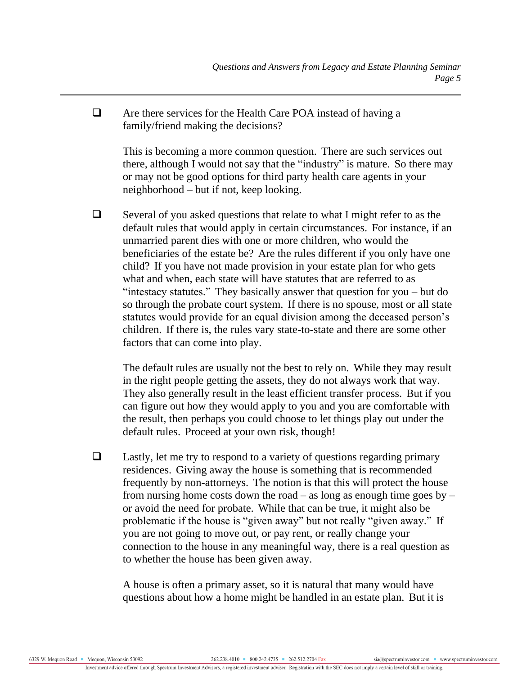❑ Are there services for the Health Care POA instead of having a family/friend making the decisions?

This is becoming a more common question. There are such services out there, although I would not say that the "industry" is mature. So there may or may not be good options for third party health care agents in your neighborhood – but if not, keep looking.

❑ Several of you asked questions that relate to what I might refer to as the default rules that would apply in certain circumstances. For instance, if an unmarried parent dies with one or more children, who would the beneficiaries of the estate be? Are the rules different if you only have one child? If you have not made provision in your estate plan for who gets what and when, each state will have statutes that are referred to as "intestacy statutes." They basically answer that question for you – but do so through the probate court system. If there is no spouse, most or all state statutes would provide for an equal division among the deceased person's children. If there is, the rules vary state-to-state and there are some other factors that can come into play.

The default rules are usually not the best to rely on. While they may result in the right people getting the assets, they do not always work that way. They also generally result in the least efficient transfer process. But if you can figure out how they would apply to you and you are comfortable with the result, then perhaps you could choose to let things play out under the default rules. Proceed at your own risk, though!

❑ Lastly, let me try to respond to a variety of questions regarding primary residences. Giving away the house is something that is recommended frequently by non-attorneys. The notion is that this will protect the house from nursing home costs down the road – as long as enough time goes by – or avoid the need for probate. While that can be true, it might also be problematic if the house is "given away" but not really "given away." If you are not going to move out, or pay rent, or really change your connection to the house in any meaningful way, there is a real question as to whether the house has been given away.

A house is often a primary asset, so it is natural that many would have questions about how a home might be handled in an estate plan. But it is

6329 W. Mequon Road Mequon, Wisconsin 53092

sia@spectruminvestor.com www.spectruminvestor.com